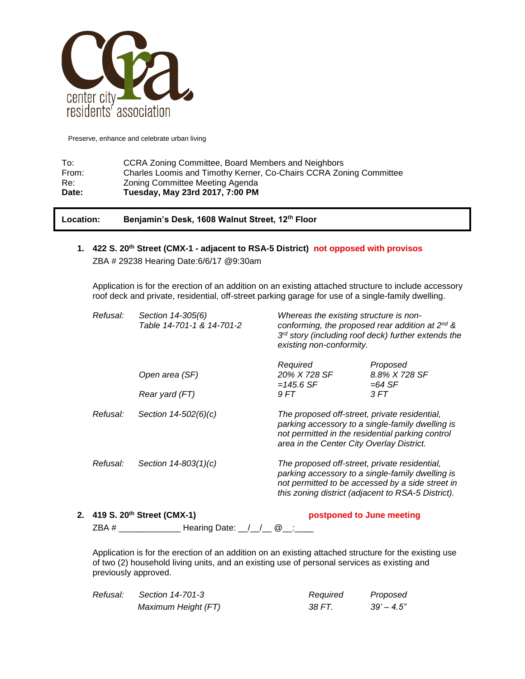

| To:   | CCRA Zoning Committee, Board Members and Neighbors                 |
|-------|--------------------------------------------------------------------|
| From: | Charles Loomis and Timothy Kerner, Co-Chairs CCRA Zoning Committee |
| Re:   | Zoning Committee Meeting Agenda                                    |
| Date: | Tuesday, May 23rd 2017, 7:00 PM                                    |

**Location: Benjamin's Desk, 1608 Walnut Street, 12th Floor**

**1. 422 S. 20th Street (CMX-1 - adjacent to RSA-5 District) not opposed with provisos** ZBA # 29238 Hearing Date:6/6/17 @9:30am

Application is for the erection of an addition on an existing attached structure to include accessory roof deck and private, residential, off-street parking garage for use of a single-family dwelling.

| Refusal: | Section 14-305(6)<br>Table 14-701-1 & 14-701-2 | Whereas the existing structure is non-<br>conforming, the proposed rear addition at $2^{nd}$ &<br>$3rd$ story (including roof deck) further extends the<br>existing non-conformity.                         |                                       |  |
|----------|------------------------------------------------|-------------------------------------------------------------------------------------------------------------------------------------------------------------------------------------------------------------|---------------------------------------|--|
|          | Open area (SF)                                 | Required<br>20% X 728 SF<br>$=145.6$ SF                                                                                                                                                                     | Proposed<br>8.8% X 728 SF<br>$=64$ SF |  |
|          | Rear yard (FT)                                 | 9 FT                                                                                                                                                                                                        | 3 FT                                  |  |
| Refusal: | Section $14 - 502(6)(c)$                       | The proposed off-street, private residential,<br>parking accessory to a single-family dwelling is<br>not permitted in the residential parking control<br>area in the Center City Overlay District.          |                                       |  |
| Refusal: | Section $14 - 803(1)(c)$                       | The proposed off-street, private residential,<br>parking accessory to a single-family dwelling is<br>not permitted to be accessed by a side street in<br>this zoning district (adjacent to RSA-5 District). |                                       |  |
|          |                                                |                                                                                                                                                                                                             |                                       |  |

## **2. 419 S. 20th Street (CMX-1) postponed to June meeting** ZBA # \_\_\_\_\_\_\_\_\_\_\_\_\_\_\_\_\_ Hearing Date: \_\_/\_\_/\_\_ @\_\_:\_\_\_\_

Application is for the erection of an addition on an existing attached structure for the existing use of two (2) household living units, and an existing use of personal services as existing and previously approved.

| Refusal: | Section 14-701-3    | Required | Proposed      |
|----------|---------------------|----------|---------------|
|          | Maximum Height (FT) | 38 FT.   | $39' - 4.5''$ |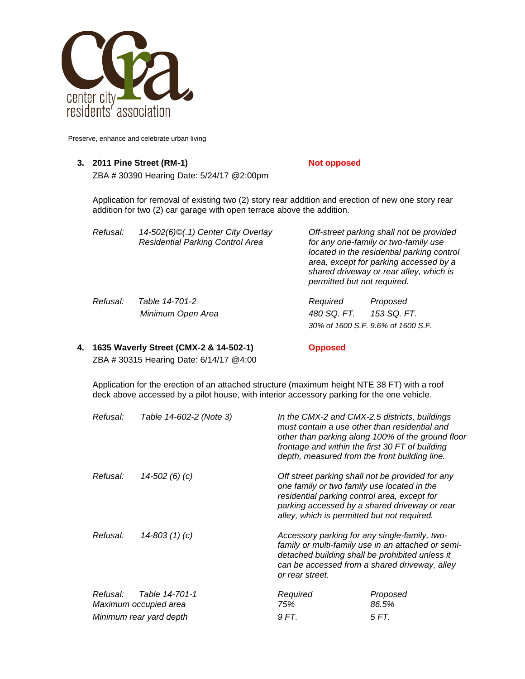

#### **3. 2011 Pine Street (RM-1) Not opposed**

ZBA # 30390 Hearing Date: 5/24/17 @2:00pm

Application for removal of existing two (2) story rear addition and erection of new one story rear addition for two (2) car garage with open terrace above the addition.

| Refusal: | 14-502(6)©(.1) Center City Overlay<br><b>Residential Parking Control Area</b> | Off-street parking shall not be provided<br>for any one-family or two-family use<br>located in the residential parking control<br>area, except for parking accessed by a<br>shared driveway or rear alley, which is<br>permitted but not required. |                                    |
|----------|-------------------------------------------------------------------------------|----------------------------------------------------------------------------------------------------------------------------------------------------------------------------------------------------------------------------------------------------|------------------------------------|
| Refusal: | Table 14-701-2                                                                | Required                                                                                                                                                                                                                                           | Proposed                           |
|          | Minimum Open Area                                                             | 480 SQ. FT.                                                                                                                                                                                                                                        | 153 SQ. FT.                        |
|          |                                                                               |                                                                                                                                                                                                                                                    | 30% of 1600 S.F. 9.6% of 1600 S.F. |

### **4. 1635 Waverly Street (CMX-2 & 14-502-1) Opposed** ZBA # 30315 Hearing Date: 6/14/17 @4:00

Application for the erection of an attached structure (maximum height NTE 38 FT) with a roof deck above accessed by a pilot house, with interior accessory parking for the one vehicle.

| Refusal:                | Table 14-602-2 (Note 3)                 | In the CMX-2 and CMX-2.5 districts, buildings<br>must contain a use other than residential and<br>other than parking along 100% of the ground floor<br>frontage and within the first 30 FT of building<br>depth, measured from the front building line. |                                                                                                                                                                                                                                                 |  |
|-------------------------|-----------------------------------------|---------------------------------------------------------------------------------------------------------------------------------------------------------------------------------------------------------------------------------------------------------|-------------------------------------------------------------------------------------------------------------------------------------------------------------------------------------------------------------------------------------------------|--|
| Refusal:                | 14-502 (6) (c)                          |                                                                                                                                                                                                                                                         | Off street parking shall not be provided for any<br>one family or two family use located in the<br>residential parking control area, except for<br>parking accessed by a shared driveway or rear<br>alley, which is permitted but not required. |  |
| Refusal:                | $14 - 803(1)(c)$                        | Accessory parking for any single-family, two-<br>family or multi-family use in an attached or semi-<br>detached building shall be prohibited unless it<br>can be accessed from a shared driveway, alley<br>or rear street.                              |                                                                                                                                                                                                                                                 |  |
| Refusal:                | Table 14-701-1<br>Maximum occupied area | Required<br>75%                                                                                                                                                                                                                                         | Proposed<br>86.5%                                                                                                                                                                                                                               |  |
| Minimum rear yard depth |                                         | 9 FT.                                                                                                                                                                                                                                                   | 5 FT.                                                                                                                                                                                                                                           |  |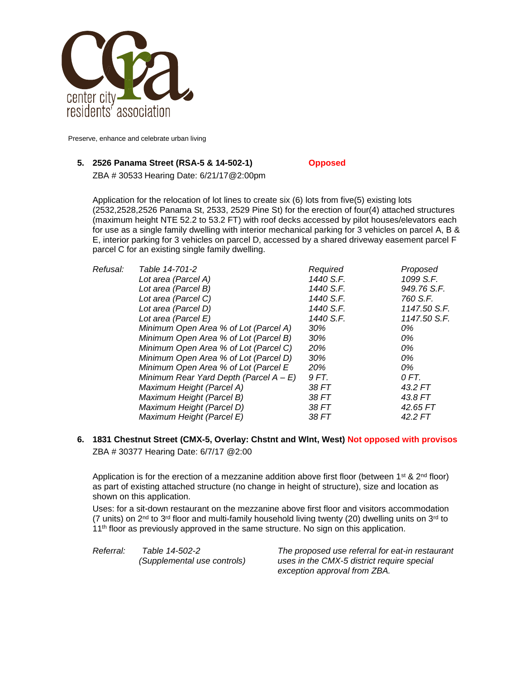

#### **5. 2526 Panama Street (RSA-5 & 14-502-1) Opposed**

ZBA # 30533 Hearing Date: 6/21/17@2:00pm

Application for the relocation of lot lines to create six (6) lots from five(5) existing lots (2532,2528,2526 Panama St, 2533, 2529 Pine St) for the erection of four(4) attached structures (maximum height NTE 52.2 to 53.2 FT) with roof decks accessed by pilot houses/elevators each for use as a single family dwelling with interior mechanical parking for 3 vehicles on parcel A, B & E, interior parking for 3 vehicles on parcel D, accessed by a shared driveway easement parcel F parcel C for an existing single family dwelling.

| Refusal: | Table 14-701-2                            | Required  | Proposed     |
|----------|-------------------------------------------|-----------|--------------|
|          | Lot area (Parcel A)                       | 1440 S.F. | 1099 S.F.    |
|          | Lot area (Parcel B)                       | 1440 S.F. | 949.76 S.F.  |
|          | Lot area (Parcel C)                       | 1440 S.F. | 760 S.F.     |
|          | Lot area (Parcel D)                       | 1440 S.F. | 1147.50 S.F. |
|          | Lot area (Parcel E)                       | 1440 S.F. | 1147.50 S.F. |
|          | Minimum Open Area % of Lot (Parcel A)     | 30%       | 0%           |
|          | Minimum Open Area % of Lot (Parcel B)     | 30%       | 0%           |
|          | Minimum Open Area % of Lot (Parcel C)     | 20%       | 0%           |
|          | Minimum Open Area % of Lot (Parcel D)     | 30%       | 0%           |
|          | Minimum Open Area % of Lot (Parcel E      | 20%       | 0%           |
|          | Minimum Rear Yard Depth (Parcel $A - E$ ) | 9 FT.     | 0 FT.        |
|          | Maximum Height (Parcel A)                 | 38 FT     | 43.2 FT      |
|          | Maximum Height (Parcel B)                 | 38 FT     | 43.8 FT      |
|          | Maximum Height (Parcel D)                 | 38 FT     | 42.65 FT     |
|          | Maximum Height (Parcel E)                 | 38 FT     | 42.2 FT      |
|          |                                           |           |              |

**6. 1831 Chestnut Street (CMX-5, Overlay: Chstnt and Wlnt, West) Not opposed with provisos** ZBA # 30377 Hearing Date: 6/7/17 @2:00

Application is for the erection of a mezzanine addition above first floor (between  $1^{st}$  &  $2^{nd}$  floor) as part of existing attached structure (no change in height of structure), size and location as shown on this application.

Uses: for a sit-down restaurant on the mezzanine above first floor and visitors accommodation (7 units) on  $2<sup>nd</sup>$  to  $3<sup>rd</sup>$  floor and multi-family household living twenty (20) dwelling units on  $3<sup>rd</sup>$  to 11<sup>th</sup> floor as previously approved in the same structure. No sign on this application.

*Referral: Table 14-502-2 The proposed use referral for eat-in restaurant (Supplemental use controls) uses in the CMX-5 district require special exception approval from ZBA.*